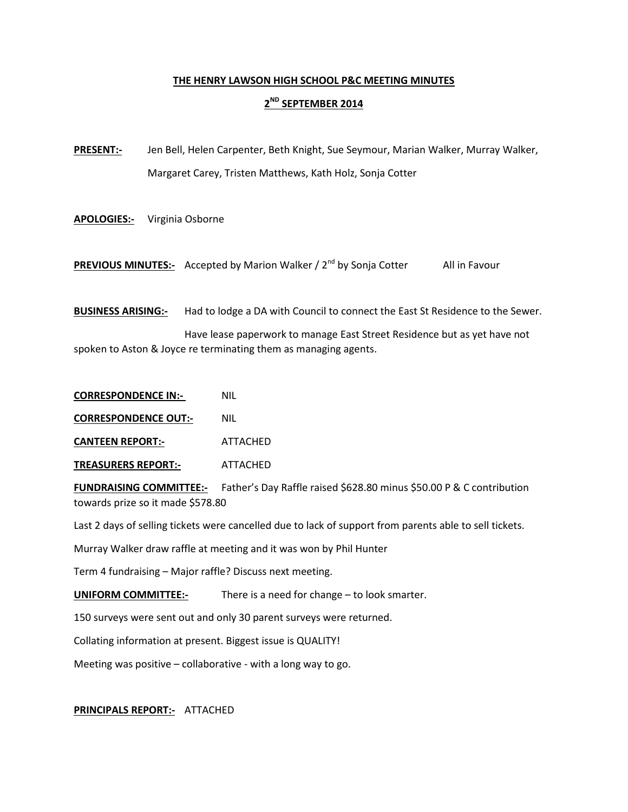## **THE HENRY LAWSON HIGH SCHOOL P&C MEETING MINUTES**

## **2ND SEPTEMBER 2014**

**PRESENT:-** Jen Bell, Helen Carpenter, Beth Knight, Sue Seymour, Marian Walker, Murray Walker, Margaret Carey, Tristen Matthews, Kath Holz, Sonja Cotter

**APOLOGIES:-** Virginia Osborne

**PREVIOUS MINUTES:-** Accepted by Marion Walker / 2<sup>nd</sup> by Sonja Cotter All in Favour

**BUSINESS ARISING:-** Had to lodge a DA with Council to connect the East St Residence to the Sewer.

Have lease paperwork to manage East Street Residence but as yet have not spoken to Aston & Joyce re terminating them as managing agents.

**CORRESPONDENCE IN:-** NIL

**CORRESPONDENCE OUT:-** NIL

**CANTEEN REPORT:-** ATTACHED

**TREASURERS REPORT:-** ATTACHED

**FUNDRAISING COMMITTEE:-** Father's Day Raffle raised \$628.80 minus \$50.00 P & C contribution towards prize so it made \$578.80

Last 2 days of selling tickets were cancelled due to lack of support from parents able to sell tickets.

Murray Walker draw raffle at meeting and it was won by Phil Hunter

Term 4 fundraising – Major raffle? Discuss next meeting.

**UNIFORM COMMITTEE:-** There is a need for change – to look smarter.

150 surveys were sent out and only 30 parent surveys were returned.

Collating information at present. Biggest issue is QUALITY!

Meeting was positive – collaborative - with a long way to go.

## **PRINCIPALS REPORT:-** ATTACHED